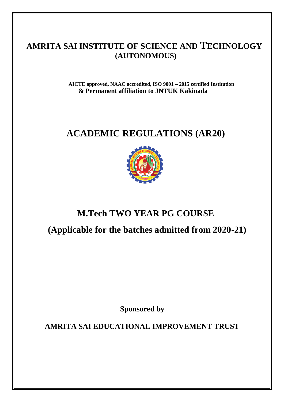# **AMRITA SAI INSTITUTE OF SCIENCE AND TECHNOLOGY (AUTONOMOUS)**

**AICTE approved, NAAC accredited, ISO 9001 – 2015 certified Institution & Permanent affiliation to JNTUK Kakinada**

# **ACADEMIC REGULATIONS (AR20)**



# **M.Tech TWO YEAR PG COURSE**

**(Applicable for the batches admitted from 2020-21)**

**Sponsored by**

**AMRITA SAI EDUCATIONAL IMPROVEMENT TRUST**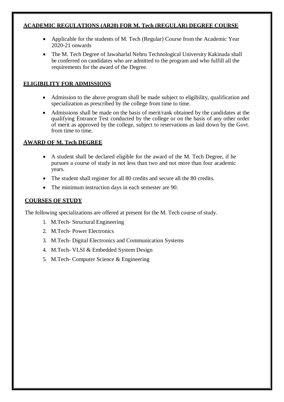#### **ACADEMIC REGULATIONS (AR20) FOR M. Tech (REGULAR) DEGREE COURSE**

- Applicable for the students of M. Tech (Regular) Course from the Academic Year 2020-21 onwards
- The M. Tech Degree of Jawaharlal Nehru Technological University Kakinada shall be conferred on candidates who are admitted to the program and who fulfill all the requirements for the award of the Degree.

# **ELIGIBILITY FOR ADMISSIONS**

- Admission to the above program shall be made subject to eligibility, qualification and specialization as prescribed by the college from time to time.
- Admissions shall be made on the basis of merit/rank obtained by the candidates at the qualifying Entrance Test conducted by the college or on the basis of any other order of merit as approved by the college, subject to reservations as laid down by the Govt. from time to time.

# **AWARD OF M. Tech DEGREE**

- A student shall be declared eligible for the award of the M. Tech Degree, if he pursues a course of study in not less than two and not more than four academic years.
- The student shall register for all 80 credits and secure all the 80 credits.
- The minimum instruction days in each semester are 90.

# **COURSES OF STUDY**

The following specializations are offered at present for the M. Tech course of study.

- 1. M.Tech- Structural Engineering
- 2. M.Tech- Power Electronics
- 3. M.Tech- Digital Electronics and Communication Systems
- 4. M.Tech- VLSI & Embedded System Design
- 5. M.Tech- Computer Science & Engineering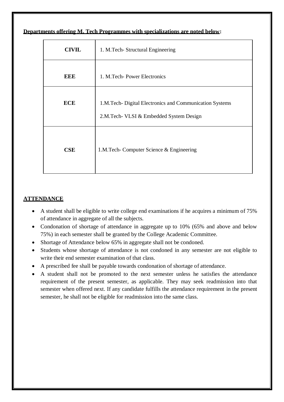**Departments offering M. Tech Programmes with specializations are noted below:**

| <b>CIVIL</b> | 1. M.Tech-Structural Engineering                                                                   |  |  |
|--------------|----------------------------------------------------------------------------------------------------|--|--|
| EEE          | 1. M.Tech-Power Electronics                                                                        |  |  |
| <b>ECE</b>   | 1.M.Tech- Digital Electronics and Communication Systems<br>2.M.Tech- VLSI & Embedded System Design |  |  |
| CSE          | 1.M.Tech- Computer Science & Engineering                                                           |  |  |

# **ATTENDANCE**

- A student shall be eligible to write college end examinations if he acquires a minimum of 75% of attendance in aggregate of all the subjects.
- Condonation of shortage of attendance in aggregate up to 10% (65% and above and below 75%) in each semester shall be granted by the College Academic Committee.
- Shortage of Attendance below 65% in aggregate shall not be condoned.
- Students whose shortage of attendance is not condoned in any semester are not eligible to write their end semester examination of that class.
- A prescribed fee shall be payable towards condonation of shortage of attendance.
- A student shall not be promoted to the next semester unless he satisfies the attendance requirement of the present semester, as applicable. They may seek readmission into that semester when offered next. If any candidate fulfills the attendance requirement in the present semester, he shall not be eligible for readmission into the same class.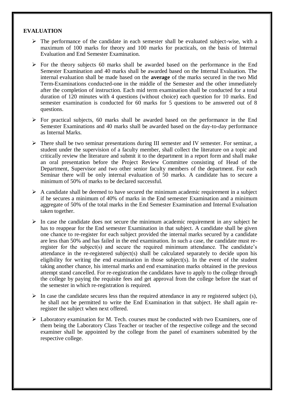### **EVALUATION**

- $\triangleright$  The performance of the candidate in each semester shall be evaluated subject-wise, with a maximum of 100 marks for theory and 100 marks for practicals, on the basis of Internal Evaluation and End Semester Examination.
- $\triangleright$  For the theory subjects 60 marks shall be awarded based on the performance in the End Semester Examination and 40 marks shall be awarded based on the Internal Evaluation. The internal evaluation shall be made based on the **average** of the marks secured in the two Mid Term-Examinations conducted-one in the middle of the Semester and the other immediately after the completion of instruction. Each mid term examination shall be conducted for a total duration of 120 minutes with 4 questions (without choice) each question for 10 marks. End semester examination is conducted for 60 marks for 5 questions to be answered out of 8 questions.
- $\triangleright$  For practical subjects, 60 marks shall be awarded based on the performance in the End Semester Examinations and 40 marks shall be awarded based on the day-to-day performance as Internal Marks.
- There shall be two seminar presentations during III semester and IV semester. For seminar, a student under the supervision of a faculty member, shall collect the literature on a topic and critically review the literature and submit it to the department in a report form and shall make an oral presentation before the Project Review Committee consisting of Head of the Department, Supervisor and two other senior faculty members of the department. For each Seminar there will be only internal evaluation of 50 marks. A candidate has to secure a minimum of 50% of marks to be declared successful.
- $\triangleright$  A candidate shall be deemed to have secured the minimum academic requirement in a subject if he secures a minimum of 40% of marks in the End semester Examination and a minimum aggregate of 50% of the total marks in the End Semester Examination and Internal Evaluation taken together.
- $\triangleright$  In case the candidate does not secure the minimum academic requirement in any subject he has to reappear for the End semester Examination in that subject. A candidate shall be given one chance to re-register for each subject provided the internal marks secured by a candidate are less than 50% and has failed in the end examination. In such a case, the candidate must reregister for the subject(s) and secure the required minimum attendance. The candidate's attendance in the re-registered subject(s) shall be calculated separately to decide upon his eligibility for writing the end examination in those subject(s). In the event of the student taking another chance, his internal marks and end examination marks obtained in the previous attempt stand cancelled. For re-registration the candidates have to apply to the college through the college by paying the requisite fees and get approval from the college before the start of the semester in which re-registration is required.
- $\triangleright$  In case the candidate secures less than the required attendance in any re registered subject (s), he shall not be permitted to write the End Examination in that subject. He shall again reregister the subject when next offered.
- $\triangleright$  Laboratory examination for M. Tech. courses must be conducted with two Examiners, one of them being the Laboratory Class Teacher or teacher of the respective college and the second examiner shall be appointed by the college from the panel of examiners submitted by the respective college.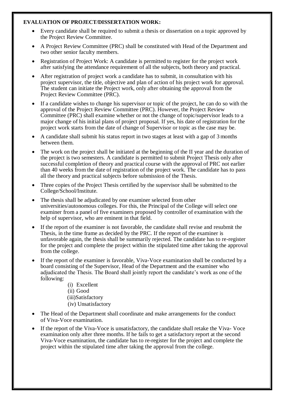### **EVALUATION OF PROJECT/DISSERTATION WORK:**

- Every candidate shall be required to submit a thesis or dissertation on a topic approved by the Project Review Committee.
- A Project Review Committee (PRC) shall be constituted with Head of the Department and two other senior faculty members.
- Registration of Project Work: A candidate is permitted to register for the project work after satisfying the attendance requirement of all the subjects, both theory and practical.
- After registration of project work a candidate has to submit, in consultation with his project supervisor, the title, objective and plan of action of his project work for approval. The student can initiate the Project work, only after obtaining the approval from the Project Review Committee (PRC).
- If a candidate wishes to change his supervisor or topic of the project, he can do so with the approval of the Project Review Committee (PRC). However, the Project Review Committee (PRC) shall examine whether or not the change of topic/supervisor leads to a major change of his initial plans of project proposal. If yes, his date of registration for the project work starts from the date of change of Supervisor or topic as the case may be.
- A candidate shall submit his status report in two stages at least with a gap of 3 months between them.
- The work on the project shall be initiated at the beginning of the II year and the duration of the project is two semesters. A candidate is permitted to submit Project Thesis only after successful completion of theory and practical course with the approval of PRC not earlier than 40 weeks from the date of registration of the project work. The candidate has to pass all the theory and practical subjects before submission of the Thesis.
- Three copies of the Project Thesis certified by the supervisor shall be submitted to the College/School/Institute.
- The thesis shall be adjudicated by one examiner selected from other universities/autonomous colleges. For this, the Principal of the College will select one examiner from a panel of five examiners proposed by controller of examination with the help of supervisor, who are eminent in that field.
- If the report of the examiner is not favorable, the candidate shall revise and resubmit the Thesis, in the time frame as decided by the PRC. If the report of the examiner is unfavorable again, the thesis shall be summarily rejected. The candidate has to re-register for the project and complete the project within the stipulated time after taking the approval from the college.
- If the report of the examiner is favorable, Viva-Voce examination shall be conducted by a board consisting of the Supervisor, Head of the Department and the examiner who adjudicated the Thesis. The Board shall jointly report the candidate's work as one of the following:
	- (i) Excellent (ii) Good (iii)Satisfactory (iv) Unsatisfactory
- The Head of the Department shall coordinate and make arrangements for the conduct of Viva-Voce examination.
- If the report of the Viva-Voce is unsatisfactory, the candidate shall retake the Viva- Voce examination only after three months. If he fails to get a satisfactory report at the second Viva-Voce examination, the candidate has to re-register for the project and complete the project within the stipulated time after taking the approval from the college.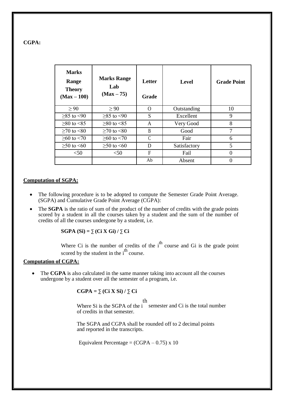#### **CGPA:**

| <b>Marks</b><br>Range<br><b>Theory</b><br>$(Max-100)$ | <b>Marks Range</b><br>Lab<br>$(Max-75)$ | Letter<br>Grade | <b>Level</b> | <b>Grade Point</b> |
|-------------------------------------------------------|-----------------------------------------|-----------------|--------------|--------------------|
| > 90                                                  | $\geq 90$                               | ∩               | Outstanding  | 10                 |
| $>85$ to $< 90$                                       | $>85$ to $< 90$                         | S               | Excellent    | 9                  |
| $>80$ to $< 85$                                       | $>80$ to $< 85$                         | A               | Very Good    | 8                  |
| $>70$ to $< 80$                                       | $>70$ to $< 80$                         | B               | Good         | $\mathcal{I}$      |
| $≥60$ to <70                                          | $>60$ to $< 70$                         | C               | Fair         | 6                  |
| $≥ 50$ to $≤ 60$                                      | $>50$ to $<60$                          | D               | Satisfactory | 5                  |
| $50$                                                  | $50$                                    | F               | Fail         | 0                  |
|                                                       |                                         | Ab              | Absent       |                    |

#### **Computation of SGPA:**

- The following procedure is to be adopted to compute the Semester Grade Point Average. (SGPA) and Cumulative Grade Point Average (CGPA):
- The **SGPA** is the ratio of sum of the product of the number of credits with the grade points scored by a student in all the courses taken by a student and the sum of the number of credits of all the courses undergone by a student, i.e.

**SGPA (Si) =** ∑ **(Ci X Gi) /** ∑ **Ci**

Where Ci is the number of credits of the  $i<sup>th</sup>$  course and Gi is the grade point scored by the student in the  $i<sup>th</sup>$  course.

#### **Computation of CGPA:**

• The **CGPA** is also calculated in the same manner taking into account all the courses undergone by a student over all the semester of a program, i.e.

#### $CGPA = \sum (Ci X Si) / \sum Ci$

th

Where Si is the SGPA of the i semester and Ci is the total number of credits in that semester.

The SGPA and CGPA shall be rounded off to 2 decimal points and reported in the transcripts.

Equivalent Percentage =  $(CGPA - 0.75) \times 10$